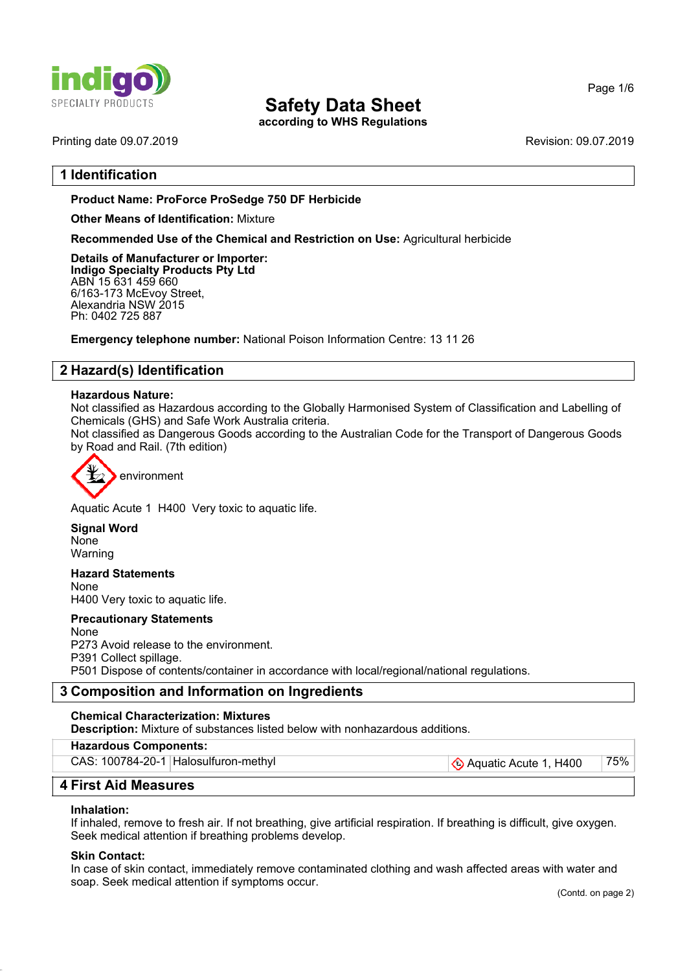

**according to WHS Regulations**

Printing date 09.07.2019 Revision: 09.07.2019

## **1 Identification**

#### **Product Name: ProForce ProSedge 750 DF Herbicide**

#### **Other Means of Identification:** Mixture

**Recommended Use of the Chemical and Restriction on Use:** Agricultural herbicide

**Details of Manufacturer or Importer: Indigo Specialty Products Pty Ltd** ABN 15 631 459 660 6/163-173 McEvoy Street, Alexandria NSW 2015 Ph: 0402 725 887

**Emergency telephone number:** National Poison Information Centre: 13 11 26

## **2 Hazard(s) Identification**

#### **Hazardous Nature:**

Not classified as Hazardous according to the Globally Harmonised System of Classification and Labelling of Chemicals (GHS) and Safe Work Australia criteria.

Not classified as Dangerous Goods according to the Australian Code for the Transport of Dangerous Goods by Road and Rail. (7th edition)



Aquatic Acute 1 H400 Very toxic to aquatic life.

**Signal Word** None Warning

**Hazard Statements** None H400 Very toxic to aquatic life.

**Precautionary Statements**

None P273 Avoid release to the environment. P391 Collect spillage. P501 Dispose of contents/container in accordance with local/regional/national regulations.

## **3 Composition and Information on Ingredients**

#### **Chemical Characterization: Mixtures**

**Description:** Mixture of substances listed below with nonhazardous additions.

**Hazardous Components:**

CAS: 100784-20-1 Halosulfuron-methyl  $\bigotimes$  Aquatic Acute 1, H400 75%

## **4 First Aid Measures**

#### **Inhalation:**

If inhaled, remove to fresh air. If not breathing, give artificial respiration. If breathing is difficult, give oxygen. Seek medical attention if breathing problems develop.

#### **Skin Contact:**

In case of skin contact, immediately remove contaminated clothing and wash affected areas with water and soap. Seek medical attention if symptoms occur.

Page 1/6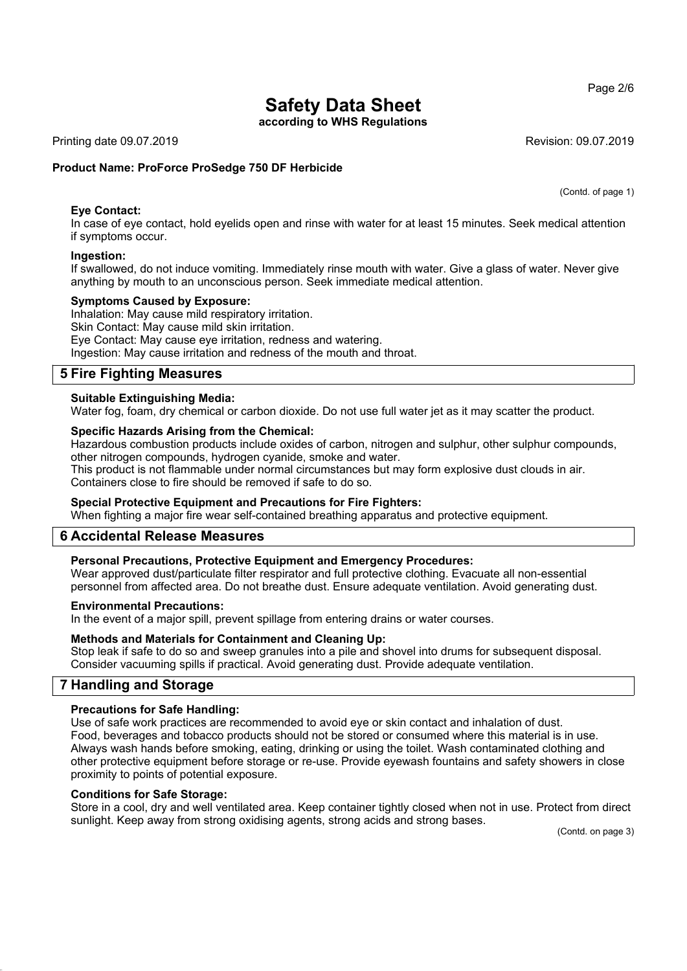**according to WHS Regulations**

Printing date 09.07.2019 **Revision: 09.07.2019** Revision: 09.07.2019

#### **Product Name: ProForce ProSedge 750 DF Herbicide**

(Contd. of page 1)

**Eye Contact:** In case of eye contact, hold eyelids open and rinse with water for at least 15 minutes. Seek medical attention if symptoms occur.

#### **Ingestion:**

If swallowed, do not induce vomiting. Immediately rinse mouth with water. Give a glass of water. Never give anything by mouth to an unconscious person. Seek immediate medical attention.

#### **Symptoms Caused by Exposure:**

Inhalation: May cause mild respiratory irritation. Skin Contact: May cause mild skin irritation. Eye Contact: May cause eye irritation, redness and watering. Ingestion: May cause irritation and redness of the mouth and throat.

## **5 Fire Fighting Measures**

#### **Suitable Extinguishing Media:**

Water fog, foam, dry chemical or carbon dioxide. Do not use full water jet as it may scatter the product.

#### **Specific Hazards Arising from the Chemical:**

Hazardous combustion products include oxides of carbon, nitrogen and sulphur, other sulphur compounds, other nitrogen compounds, hydrogen cyanide, smoke and water.

This product is not flammable under normal circumstances but may form explosive dust clouds in air. Containers close to fire should be removed if safe to do so.

#### **Special Protective Equipment and Precautions for Fire Fighters:**

When fighting a major fire wear self-contained breathing apparatus and protective equipment.

## **6 Accidental Release Measures**

#### **Personal Precautions, Protective Equipment and Emergency Procedures:**

Wear approved dust/particulate filter respirator and full protective clothing. Evacuate all non-essential personnel from affected area. Do not breathe dust. Ensure adequate ventilation. Avoid generating dust.

#### **Environmental Precautions:**

In the event of a major spill, prevent spillage from entering drains or water courses.

#### **Methods and Materials for Containment and Cleaning Up:**

Stop leak if safe to do so and sweep granules into a pile and shovel into drums for subsequent disposal. Consider vacuuming spills if practical. Avoid generating dust. Provide adequate ventilation.

## **7 Handling and Storage**

#### **Precautions for Safe Handling:**

Use of safe work practices are recommended to avoid eye or skin contact and inhalation of dust. Food, beverages and tobacco products should not be stored or consumed where this material is in use. Always wash hands before smoking, eating, drinking or using the toilet. Wash contaminated clothing and other protective equipment before storage or re-use. Provide eyewash fountains and safety showers in close proximity to points of potential exposure.

#### **Conditions for Safe Storage:**

Store in a cool, dry and well ventilated area. Keep container tightly closed when not in use. Protect from direct sunlight. Keep away from strong oxidising agents, strong acids and strong bases.

(Contd. on page 3)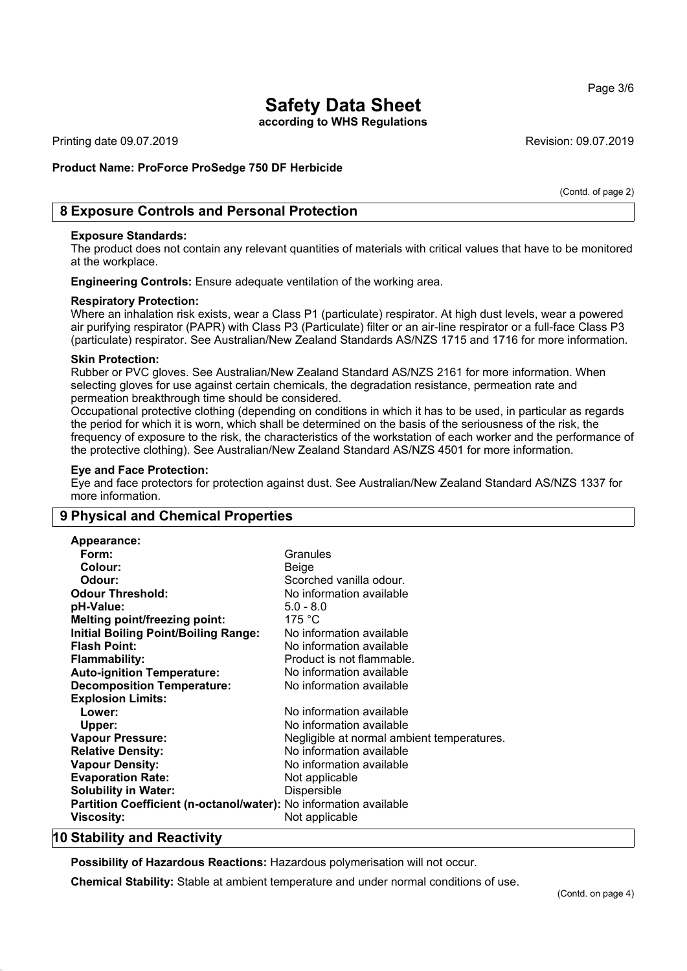Page 3/6

## **Safety Data Sheet**

**according to WHS Regulations**

Printing date 09.07.2019 **Revision: 09.07.2019** Revision: 09.07.2019

## **Product Name: ProForce ProSedge 750 DF Herbicide**

(Contd. of page 2)

## **8 Exposure Controls and Personal Protection**

#### **Exposure Standards:**

The product does not contain any relevant quantities of materials with critical values that have to be monitored at the workplace.

**Engineering Controls:** Ensure adequate ventilation of the working area.

#### **Respiratory Protection:**

Where an inhalation risk exists, wear a Class P1 (particulate) respirator. At high dust levels, wear a powered air purifying respirator (PAPR) with Class P3 (Particulate) filter or an air-line respirator or a full-face Class P3 (particulate) respirator. See Australian/New Zealand Standards AS/NZS 1715 and 1716 for more information.

#### **Skin Protection:**

Rubber or PVC gloves. See Australian/New Zealand Standard AS/NZS 2161 for more information. When selecting gloves for use against certain chemicals, the degradation resistance, permeation rate and permeation breakthrough time should be considered.

Occupational protective clothing (depending on conditions in which it has to be used, in particular as regards the period for which it is worn, which shall be determined on the basis of the seriousness of the risk, the frequency of exposure to the risk, the characteristics of the workstation of each worker and the performance of the protective clothing). See Australian/New Zealand Standard AS/NZS 4501 for more information.

#### **Eye and Face Protection:**

Eye and face protectors for protection against dust. See Australian/New Zealand Standard AS/NZS 1337 for more information.

## **9 Physical and Chemical Properties**

| <b>Appearance:</b>                                                |                                            |
|-------------------------------------------------------------------|--------------------------------------------|
| Form:                                                             | Granules                                   |
| Colour:                                                           | Beige                                      |
| Odour:                                                            | Scorched vanilla odour.                    |
| <b>Odour Threshold:</b>                                           | No information available                   |
| pH-Value:                                                         | $5.0 - 8.0$                                |
| <b>Melting point/freezing point:</b>                              | 175 °C                                     |
| <b>Initial Boiling Point/Boiling Range:</b>                       | No information available                   |
| <b>Flash Point:</b>                                               | No information available                   |
| <b>Flammability:</b>                                              | Product is not flammable.                  |
| <b>Auto-ignition Temperature:</b>                                 | No information available                   |
| <b>Decomposition Temperature:</b>                                 | No information available                   |
| <b>Explosion Limits:</b>                                          |                                            |
| Lower:                                                            | No information available                   |
| Upper:                                                            | No information available                   |
| <b>Vapour Pressure:</b>                                           | Negligible at normal ambient temperatures. |
| <b>Relative Density:</b>                                          | No information available                   |
| <b>Vapour Density:</b>                                            | No information available                   |
| <b>Evaporation Rate:</b>                                          | Not applicable                             |
| <b>Solubility in Water:</b>                                       | Dispersible                                |
| Partition Coefficient (n-octanol/water): No information available |                                            |
| <b>Viscosity:</b>                                                 | Not applicable                             |
|                                                                   |                                            |

## **10 Stability and Reactivity**

**Possibility of Hazardous Reactions:** Hazardous polymerisation will not occur.

**Chemical Stability:** Stable at ambient temperature and under normal conditions of use.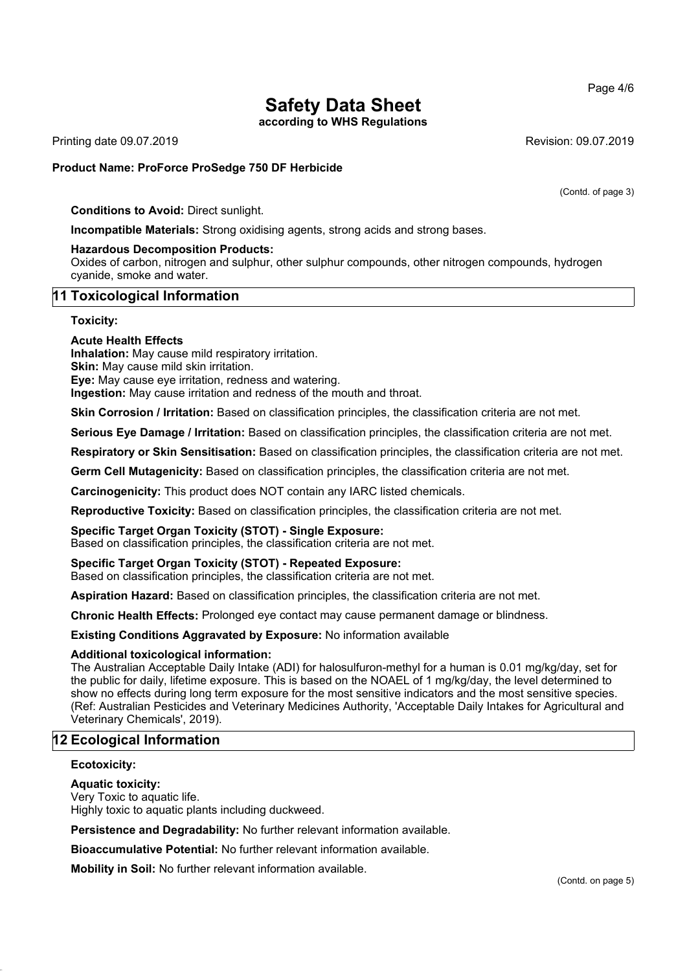**according to WHS Regulations**

Printing date 09.07.2019 **Revision: 09.07.2019** Revision: 09.07.2019

#### **Product Name: ProForce ProSedge 750 DF Herbicide**

(Contd. of page 3)

**Conditions to Avoid:** Direct sunlight.

**Incompatible Materials:** Strong oxidising agents, strong acids and strong bases.

#### **Hazardous Decomposition Products:**

Oxides of carbon, nitrogen and sulphur, other sulphur compounds, other nitrogen compounds, hydrogen cyanide, smoke and water.

#### **11 Toxicological Information**

**Toxicity:**

#### **Acute Health Effects**

**Inhalation:** May cause mild respiratory irritation. **Skin:** May cause mild skin irritation.

**Eye:** May cause eye irritation, redness and watering.

**Ingestion:** May cause irritation and redness of the mouth and throat.

**Skin Corrosion / Irritation:** Based on classification principles, the classification criteria are not met.

**Serious Eye Damage / Irritation:** Based on classification principles, the classification criteria are not met.

**Respiratory or Skin Sensitisation:** Based on classification principles, the classification criteria are not met.

**Germ Cell Mutagenicity:** Based on classification principles, the classification criteria are not met.

**Carcinogenicity:** This product does NOT contain any IARC listed chemicals.

**Reproductive Toxicity:** Based on classification principles, the classification criteria are not met.

#### **Specific Target Organ Toxicity (STOT) - Single Exposure:**

Based on classification principles, the classification criteria are not met.

## **Specific Target Organ Toxicity (STOT) - Repeated Exposure:**

Based on classification principles, the classification criteria are not met.

**Aspiration Hazard:** Based on classification principles, the classification criteria are not met.

**Chronic Health Effects:** Prolonged eye contact may cause permanent damage or blindness.

**Existing Conditions Aggravated by Exposure:** No information available

#### **Additional toxicological information:**

The Australian Acceptable Daily Intake (ADI) for halosulfuron-methyl for a human is 0.01 mg/kg/day, set for the public for daily, lifetime exposure. This is based on the NOAEL of 1 mg/kg/day, the level determined to show no effects during long term exposure for the most sensitive indicators and the most sensitive species. (Ref: Australian Pesticides and Veterinary Medicines Authority, 'Acceptable Daily Intakes for Agricultural and Veterinary Chemicals', 2019).

## **12 Ecological Information**

#### **Ecotoxicity:**

#### **Aquatic toxicity:**

Very Toxic to aquatic life.

Highly toxic to aquatic plants including duckweed.

**Persistence and Degradability:** No further relevant information available.

**Bioaccumulative Potential:** No further relevant information available.

**Mobility in Soil:** No further relevant information available.

Page 4/6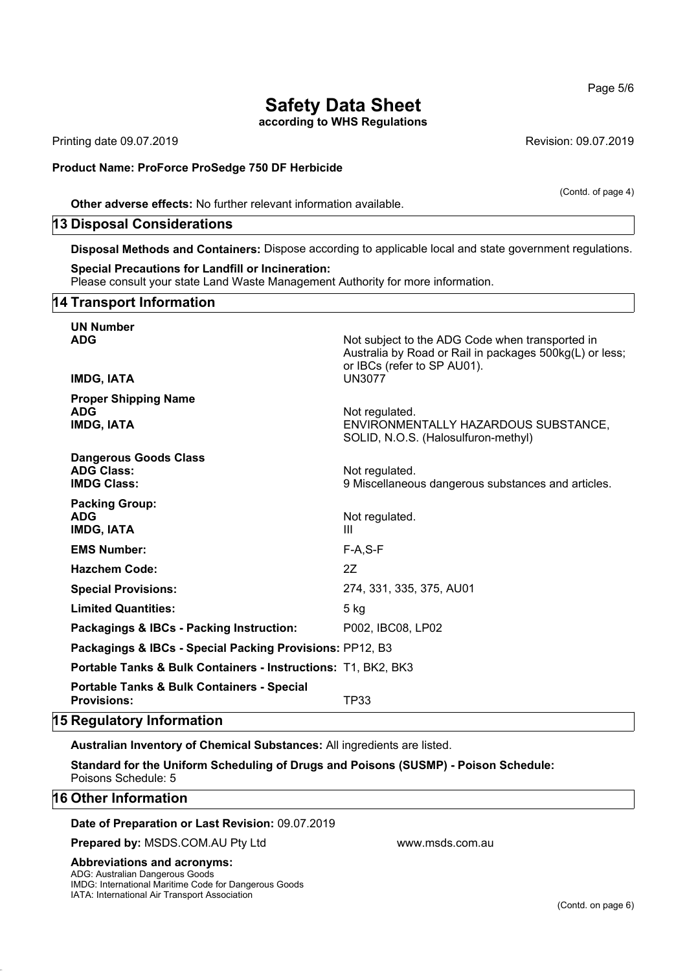## **Safety Data Sheet according to WHS Regulations**

Printing date 09.07.2019 Revision: 09.07.2019

#### **Product Name: ProForce ProSedge 750 DF Herbicide**

**Other adverse effects:** No further relevant information available.

#### **13 Disposal Considerations**

**Disposal Methods and Containers:** Dispose according to applicable local and state government regulations.

#### **Special Precautions for Landfill or Incineration:**

Please consult your state Land Waste Management Authority for more information.

## **14 Transport Information**

| <b>UN Number</b><br><b>ADG</b><br><b>IMDG, IATA</b>                         | Not subject to the ADG Code when transported in<br>Australia by Road or Rail in packages 500kg(L) or less;<br>or IBCs (refer to SP AU01).<br><b>UN3077</b> |
|-----------------------------------------------------------------------------|------------------------------------------------------------------------------------------------------------------------------------------------------------|
| <b>Proper Shipping Name</b><br><b>ADG</b><br><b>IMDG, IATA</b>              | Not regulated.<br>ENVIRONMENTALLY HAZARDOUS SUBSTANCE,<br>SOLID, N.O.S. (Halosulfuron-methyl)                                                              |
| <b>Dangerous Goods Class</b><br><b>ADG Class:</b><br><b>IMDG Class:</b>     | Not regulated.<br>9 Miscellaneous dangerous substances and articles.                                                                                       |
| <b>Packing Group:</b><br><b>ADG</b><br><b>IMDG, IATA</b>                    | Not regulated.<br>Ш                                                                                                                                        |
| <b>EMS Number:</b>                                                          | $F-A, S-F$                                                                                                                                                 |
| <b>Hazchem Code:</b>                                                        | 2Z                                                                                                                                                         |
| <b>Special Provisions:</b>                                                  | 274, 331, 335, 375, AU01                                                                                                                                   |
| <b>Limited Quantities:</b>                                                  | $5$ kg                                                                                                                                                     |
| Packagings & IBCs - Packing Instruction:                                    | P002, IBC08, LP02                                                                                                                                          |
| Packagings & IBCs - Special Packing Provisions: PP12, B3                    |                                                                                                                                                            |
| Portable Tanks & Bulk Containers - Instructions: T1, BK2, BK3               |                                                                                                                                                            |
| <b>Portable Tanks &amp; Bulk Containers - Special</b><br><b>Provisions:</b> | TP33                                                                                                                                                       |

## **15 Regulatory Information**

**Australian Inventory of Chemical Substances:** All ingredients are listed.

**Standard for the Uniform Scheduling of Drugs and Poisons (SUSMP) - Poison Schedule:** Poisons Schedule: 5

## **16 Other Information**

**Date of Preparation or Last Revision:** 09.07.2019

**Prepared by: MSDS.COM.AU Pty Ltd www.msds.com.au** 

#### **Abbreviations and acronyms:**

ADG: Australian Dangerous Goods IMDG: International Maritime Code for Dangerous Goods IATA: International Air Transport Association

(Contd. of page 4)

Page 5/6

(Contd. on page 6)